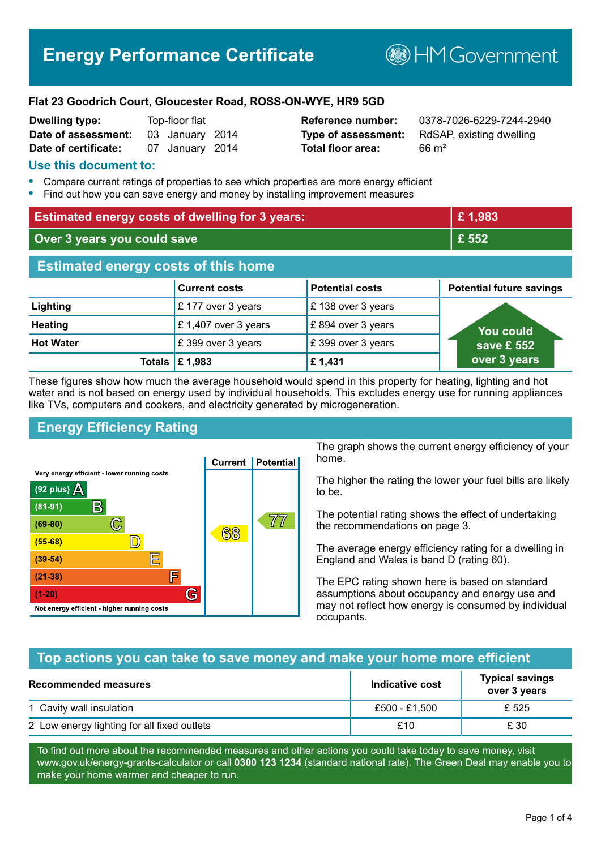# **Energy Performance Certificate**

**BHM Government** 

#### **Flat 23 Goodrich Court, Gloucester Road, ROSS-ON-WYE, HR9 5GD**

| <b>Dwelling type:</b> | Top-floor flat |                 |  |
|-----------------------|----------------|-----------------|--|
| Date of assessment:   |                | 03 January 2014 |  |
| Date of certificate:  |                | 07 January 2014 |  |

# **Total floor area:** 66 m<sup>2</sup>

**Reference number:** 0378-7026-6229-7244-2940 **Type of assessment:** RdSAP, existing dwelling

#### **Use this document to:**

- **•** Compare current ratings of properties to see which properties are more energy efficient
- **•** Find out how you can save energy and money by installing improvement measures

| <b>Estimated energy costs of dwelling for 3 years:</b> |                           |                        | £1,983                          |
|--------------------------------------------------------|---------------------------|------------------------|---------------------------------|
| Over 3 years you could save                            |                           | £ 552                  |                                 |
| <b>Estimated energy costs of this home</b>             |                           |                        |                                 |
|                                                        | <b>Current costs</b>      | <b>Potential costs</b> | <b>Potential future savings</b> |
| Lighting                                               | £177 over 3 years         | £138 over 3 years      |                                 |
| <b>Heating</b>                                         | £1,407 over 3 years       | £894 over 3 years      | <b>You could</b>                |
| <b>Hot Water</b>                                       | £399 over 3 years         | £399 over 3 years      | save £ 552                      |
|                                                        | Totals $\mathsf{E}$ 1,983 | £1,431                 | over 3 years                    |

These figures show how much the average household would spend in this property for heating, lighting and hot water and is not based on energy used by individual households. This excludes energy use for running appliances like TVs, computers and cookers, and electricity generated by microgeneration.

## **Energy Efficiency Rating**



The graph shows the current energy efficiency of your home.

The higher the rating the lower your fuel bills are likely to be.

The potential rating shows the effect of undertaking the recommendations on page 3.

The average energy efficiency rating for a dwelling in England and Wales is band D (rating 60).

The EPC rating shown here is based on standard assumptions about occupancy and energy use and may not reflect how energy is consumed by individual occupants.

#### **Top actions you can take to save money and make your home more efficient**

| Recommended measures                        | Indicative cost | <b>Typical savings</b><br>over 3 years |
|---------------------------------------------|-----------------|----------------------------------------|
| 1 Cavity wall insulation                    | £500 - £1,500   | £ 525                                  |
| 2 Low energy lighting for all fixed outlets | £10             | £ 30                                   |

To find out more about the recommended measures and other actions you could take today to save money, visit www.gov.uk/energy-grants-calculator or call **0300 123 1234** (standard national rate). The Green Deal may enable you to make your home warmer and cheaper to run.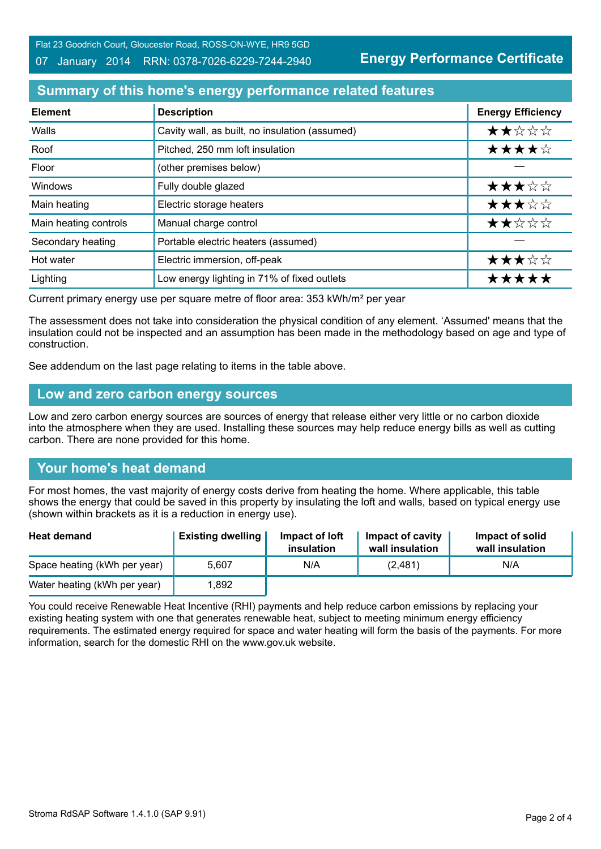Flat 23 Goodrich Court, Gloucester Road, ROSS-ON-WYE, HR9 5GD

#### 07 January 2014 RRN: 0378-7026-6229-7244-2940

**Energy Performance Certificate**

# **Summary of this home's energy performance related features**

| <b>Element</b>        | <b>Description</b>                             | <b>Energy Efficiency</b> |
|-----------------------|------------------------------------------------|--------------------------|
| Walls                 | Cavity wall, as built, no insulation (assumed) | ★★☆☆☆                    |
| Roof                  | Pitched, 250 mm loft insulation                | ★★★★☆                    |
| Floor                 | (other premises below)                         |                          |
| Windows               | Fully double glazed                            | ★★★☆☆                    |
| Main heating          | Electric storage heaters                       | ★★★☆☆                    |
| Main heating controls | Manual charge control                          | ★★☆☆☆                    |
| Secondary heating     | Portable electric heaters (assumed)            |                          |
| Hot water             | Electric immersion, off-peak                   | ★★★☆☆                    |
| Lighting              | Low energy lighting in 71% of fixed outlets    | *****                    |

Current primary energy use per square metre of floor area: 353 kWh/m² per year

The assessment does not take into consideration the physical condition of any element. 'Assumed' means that the insulation could not be inspected and an assumption has been made in the methodology based on age and type of construction.

See addendum on the last page relating to items in the table above.

#### **Low and zero carbon energy sources**

Low and zero carbon energy sources are sources of energy that release either very little or no carbon dioxide into the atmosphere when they are used. Installing these sources may help reduce energy bills as well as cutting carbon. There are none provided for this home.

## **Your home's heat demand**

For most homes, the vast majority of energy costs derive from heating the home. Where applicable, this table shows the energy that could be saved in this property by insulating the loft and walls, based on typical energy use (shown within brackets as it is a reduction in energy use).

| <b>Heat demand</b>           | <b>Existing dwelling</b> | Impact of loft<br>insulation | Impact of cavity<br>wall insulation | Impact of solid<br>wall insulation |
|------------------------------|--------------------------|------------------------------|-------------------------------------|------------------------------------|
| Space heating (kWh per year) | 5.607                    | N/A                          | (2,481)                             | N/A                                |
| Water heating (kWh per year) | .892                     |                              |                                     |                                    |

You could receive Renewable Heat Incentive (RHI) payments and help reduce carbon emissions by replacing your existing heating system with one that generates renewable heat, subject to meeting minimum energy efficiency requirements. The estimated energy required for space and water heating will form the basis of the payments. For more information, search for the domestic RHI on the www.gov.uk website.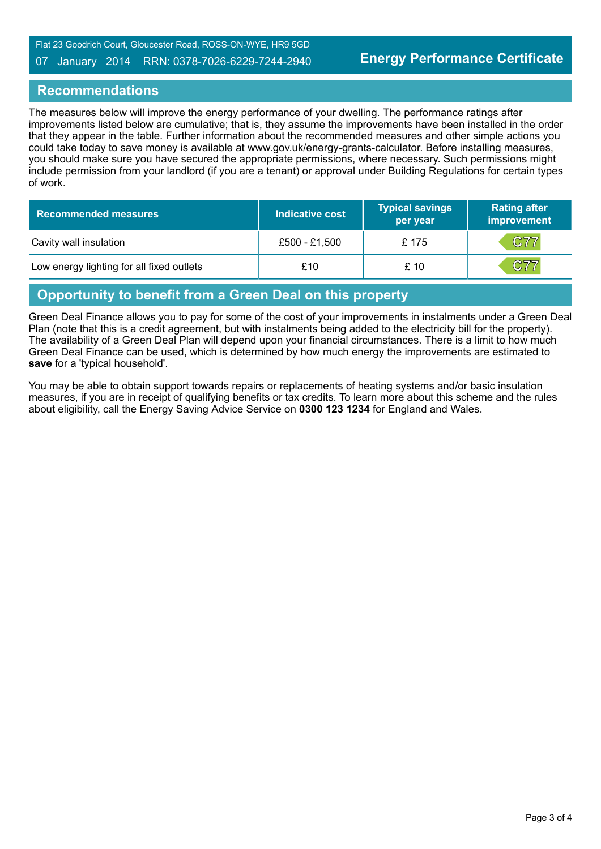#### 07 January 2014 RRN: 0378-7026-6229-7244-2940

#### **Recommendations**

The measures below will improve the energy performance of your dwelling. The performance ratings after improvements listed below are cumulative; that is, they assume the improvements have been installed in the order that they appear in the table. Further information about the recommended measures and other simple actions you could take today to save money is available at www.gov.uk/energy-grants-calculator. Before installing measures, you should make sure you have secured the appropriate permissions, where necessary. Such permissions might include permission from your landlord (if you are a tenant) or approval under Building Regulations for certain types of work.

| <b>Recommended measures</b>               | Indicative cost | <b>Typical savings</b><br>per year | <b>Rating after</b><br>improvement |
|-------------------------------------------|-----------------|------------------------------------|------------------------------------|
| Cavity wall insulation                    | £500 - £1,500   | £175                               | C77                                |
| Low energy lighting for all fixed outlets | £10             | £10                                | C77                                |

# **Opportunity to benefit from a Green Deal on this property**

Green Deal Finance allows you to pay for some of the cost of your improvements in instalments under a Green Deal Plan (note that this is a credit agreement, but with instalments being added to the electricity bill for the property). The availability of a Green Deal Plan will depend upon your financial circumstances. There is a limit to how much Green Deal Finance can be used, which is determined by how much energy the improvements are estimated to **save** for a 'typical household'.

You may be able to obtain support towards repairs or replacements of heating systems and/or basic insulation measures, if you are in receipt of qualifying benefits or tax credits. To learn more about this scheme and the rules about eligibility, call the Energy Saving Advice Service on **0300 123 1234** for England and Wales.